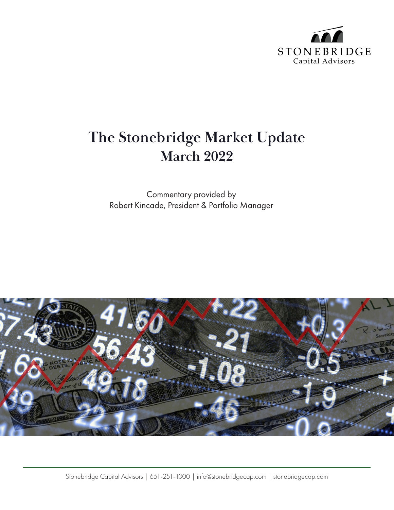

## **The Stonebridge Market Update March 2022**

Commentary provided by Robert Kincade, President & Portfolio Manager

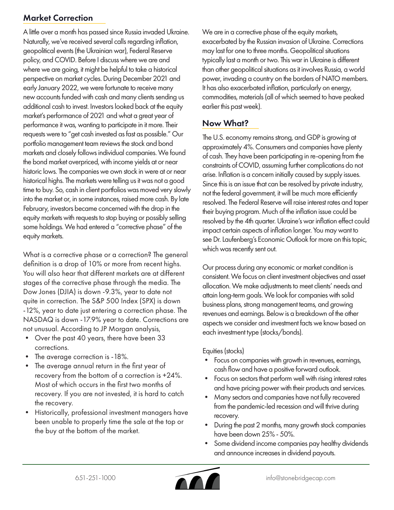## Market Correction

A little over a month has passed since Russia invaded Ukraine. Naturally, we've received several calls regarding inflation, geopolitical events (the Ukrainian war), Federal Reserve policy, and COVID. Before I discuss where we are and where we are going, it might be helpful to take a historical perspective on market cycles. During December 2021 and early January 2022, we were fortunate to receive many new accounts funded with cash and many clients sending us additional cash to invest. Investors looked back at the equity market's performance of 2021 and what a great year of performance it was, wanting to participate in it more. Their requests were to "get cash invested as fast as possible." Our portfolio management team reviews the stock and bond markets and closely follows individual companies. We found the bond market overpriced, with income yields at or near historic lows. The companies we own stock in were at or near historical highs. The markets were telling us it was not a good time to buy. So, cash in client portfolios was moved very slowly into the market or, in some instances, raised more cash. By late February, investors became concerned with the drop in the equity markets with requests to stop buying or possibly selling some holdings. We had entered a "corrective phase" of the equity markets.

What is a corrective phase or a correction? The general definition is a drop of 10% or more from recent highs. You will also hear that different markets are at different stages of the corrective phase through the media. The Dow Jones (DJIA) is down -9.3%, year to date not quite in correction. The S&P 500 Index (SPX) is down -12%, year to date just entering a correction phase. The NASDAQ is down -17.9% year to date. Corrections are not unusual. According to JP Morgan analysis,

- Over the past 40 years, there have been 33 corrections.
- The average correction is -18%.
- The average annual return in the first year of recovery from the bottom of a correction is +24%. Most of which occurs in the first two months of recovery. If you are not invested, it is hard to catch the recovery.
- Historically, professional investment managers have been unable to properly time the sale at the top or the buy at the bottom of the market.

We are in a corrective phase of the equity markets, exacerbated by the Russian invasion of Ukraine. Corrections may last for one to three months. Geopolitical situations typically last a month or two. This war in Ukraine is different than other geopolitical situations as it involves Russia, a world power, invading a country on the borders of NATO members. It has also exacerbated inflation, particularly on energy, commodities, materials (all of which seemed to have peaked earlier this past week).

## Now What?

The U.S. economy remains strong, and GDP is growing at approximately 4%. Consumers and companies have plenty of cash. They have been participating in re-opening from the constraints of COVID, assuming further complications do not arise. Inflation is a concern initially caused by supply issues. Since this is an issue that can be resolved by private industry, not the federal government, it will be much more efficiently resolved. The Federal Reserve will raise interest rates and taper their buying program. Much of the inflation issue could be resolved by the 4th quarter. Ukraine's war inflation effect could impact certain aspects of inflation longer. You may want to see Dr. Laufenberg's Economic Outlook for more on this topic, which was recently sent out.

Our process during any economic or market condition is consistent. We focus on client investment objectives and asset allocation. We make adjustments to meet clients' needs and attain long-term goals. We look for companies with solid business plans, strong management teams, and growing revenues and earnings. Below is a breakdown of the other aspects we consider and investment facts we know based on each investment type (stocks/bonds).

Equities (stocks)

- Focus on companies with growth in revenues, earnings, cash flow and have a positive forward outlook.
- Focus on sectors that perform well with rising interest rates and have pricing power with their products and services.
- Many sectors and companies have not fully recovered from the pandemic-led recession and will thrive during recovery.
- During the past 2 months, many growth stock companies have been down 25% - 50%.
- Some dividend income companies pay healthy dividends and announce increases in dividend payouts.